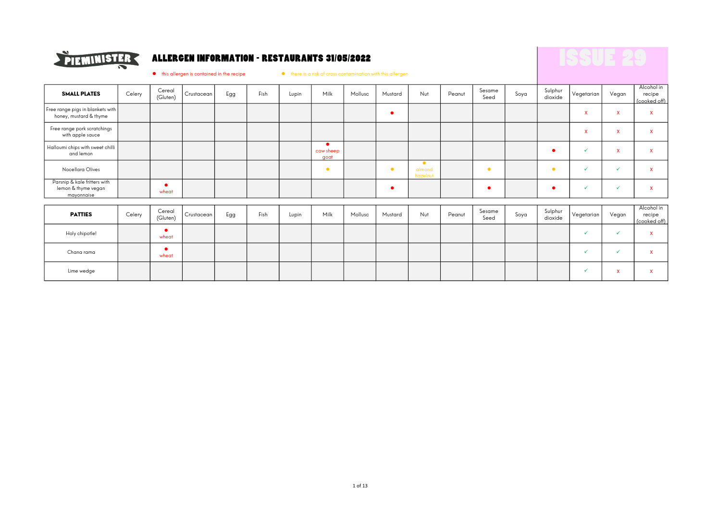

### ALLERGEN INFORMATION - RESTAURANTS 31/05/2022

 $\bullet$  this allergen is contained in the recipe  $\bullet$  there is a risk of cross contamination with this allergen

| <b>SMALL PLATES</b>                                               | Celery | Cereal<br>(Gluten)                | Crustacean | Egg | Fish | Lupin | Milk              | Mollusc | Mustard    | Nut                             | Peanut | Sesame<br>Seed | Soya | Sulphur<br>dioxide | Vegetarian                | Vegan                     | Alcohol in<br>recipe<br>(cooked off) |
|-------------------------------------------------------------------|--------|-----------------------------------|------------|-----|------|-------|-------------------|---------|------------|---------------------------------|--------|----------------|------|--------------------|---------------------------|---------------------------|--------------------------------------|
| Free range pigs in blankets with<br>honey, mustard & thyme        |        |                                   |            |     |      |       |                   |         | $\bullet$  |                                 |        |                |      |                    | $\boldsymbol{\mathsf{x}}$ | $\mathsf{x}$              | $\mathsf{x}$                         |
| Free range pork scratchings<br>with apple sauce                   |        |                                   |            |     |      |       |                   |         |            |                                 |        |                |      |                    | $\boldsymbol{\mathsf{x}}$ | $\mathsf{x}$              | $\mathsf{x}$                         |
| Halloumi chips with sweet chilli<br>and lemon                     |        |                                   |            |     |      |       | cow sheep<br>goat |         |            |                                 |        |                |      |                    | $\checkmark$              | $\mathsf{x}$              | $\mathsf{x}$                         |
| Nocellara Olives                                                  |        |                                   |            |     |      |       | $\bullet$         |         | $\bullet$  | $\bullet$<br>almond<br>hazelnut |        | $\bullet$      |      | $\bullet$          | $\checkmark$              | $\checkmark$              | $\mathsf{x}$                         |
| Parsnip & kale fritters with<br>lemon & thyme vegan<br>mayonnaise |        | $\overline{\phantom{a}}$<br>wheat |            |     |      |       |                   |         | $\epsilon$ |                                 |        |                |      |                    | $\checkmark$              | $\checkmark$              | $\mathsf{x}$                         |
|                                                                   |        |                                   |            |     |      |       |                   |         |            |                                 |        |                |      |                    |                           |                           |                                      |
| <b>PATTIES</b>                                                    | Celery | Cereal<br>(Gluten)                | Crustacean | Egg | Fish | Lupin | Milk              | Mollusc | Mustard    | Nut                             | Peanut | Sesame<br>Seed | Soya | Sulphur<br>dioxide | Vegetarian                | Vegan                     | Alcohol in<br>recipe<br>(cooked off) |
| Holy chipotle!                                                    |        | wheat                             |            |     |      |       |                   |         |            |                                 |        |                |      |                    | $\checkmark$              | $\checkmark$              | $\mathsf{x}$                         |
| Chana rama                                                        |        | wheat                             |            |     |      |       |                   |         |            |                                 |        |                |      |                    | $\checkmark$              | $\checkmark$              | $\mathsf{x}$                         |
| Lime wedge                                                        |        |                                   |            |     |      |       |                   |         |            |                                 |        |                |      |                    |                           | $\boldsymbol{\mathsf{x}}$ | X                                    |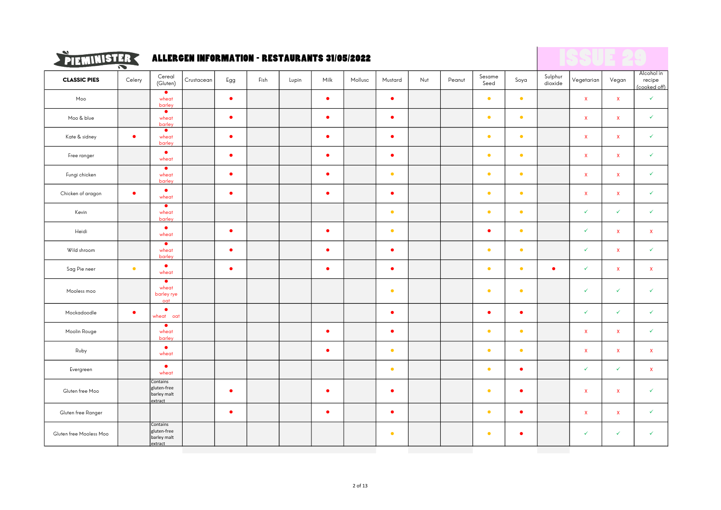

## $\sum_{i=1}^{N}$  FIEMINISTER ALLERGEN INFORMATION - RESTAURANTS 31/05/2022

|                         | $\tilde{\phantom{a}}$ |                                                   |            |           |      |       |           |         |           |     |        |                |           |                    |              |                           |                                      |
|-------------------------|-----------------------|---------------------------------------------------|------------|-----------|------|-------|-----------|---------|-----------|-----|--------|----------------|-----------|--------------------|--------------|---------------------------|--------------------------------------|
| <b>CLASSIC PIES</b>     | Celery                | Cereal<br>(Gluten)                                | Crustacean | Egg       | Fish | Lupin | Milk      | Mollusc | Mustard   | Nut | Peanut | Sesame<br>Seed | Soya      | Sulphur<br>dioxide | Vegetarian   | Vegan                     | Alcohol in<br>recipe<br>(cooked off) |
| Moo                     |                       | $\bullet$<br>wheat<br>barley                      |            | $\bullet$ |      |       | $\bullet$ |         | $\bullet$ |     |        | $\bullet$      | $\bullet$ |                    | $\mathbf{x}$ | $\mathbf x$               | $\checkmark$                         |
| Moo & blue              |                       | $\bullet$<br>wheat<br>barley                      |            | $\bullet$ |      |       | $\bullet$ |         | $\bullet$ |     |        | $\bullet$      | $\bullet$ |                    | $\mathsf{x}$ | $\boldsymbol{\mathsf{X}}$ | $\checkmark$                         |
| Kate & sidney           | $\bullet$             | $\bullet$<br>wheat<br>barley                      |            | $\bullet$ |      |       | $\bullet$ |         | $\bullet$ |     |        | $\bullet$      | $\bullet$ |                    | $\mathsf{x}$ | $\boldsymbol{\mathsf{X}}$ | $\checkmark$                         |
| Free ranger             |                       | $\bullet$<br>wheat                                |            | $\bullet$ |      |       | $\bullet$ |         | $\bullet$ |     |        | $\bullet$      | $\bullet$ |                    | $\mathsf{x}$ | $\boldsymbol{\mathsf{X}}$ | $\checkmark$                         |
| Fungi chicken           |                       | $\bullet$<br>wheat<br>barley                      |            | $\bullet$ |      |       | $\bullet$ |         | $\bullet$ |     |        | $\bullet$      | $\bullet$ |                    | $\mathbf{x}$ | $\mathbf{x}$              | $\checkmark$                         |
| Chicken of aragon       | $\bullet$             | $\bullet$<br>wheat                                |            | $\bullet$ |      |       | $\bullet$ |         | $\bullet$ |     |        | $\bullet$      | $\bullet$ |                    | $\mathbf{x}$ | $\mathbf x$               | $\checkmark$                         |
| Kevin                   |                       | $\bullet$<br>wheat<br>barley                      |            |           |      |       |           |         | $\bullet$ |     |        | $\bullet$      | $\bullet$ |                    | $\checkmark$ | $\checkmark$              | $\checkmark$                         |
| Heidi                   |                       | $\bullet$<br>wheat                                |            | $\bullet$ |      |       | $\bullet$ |         | $\bullet$ |     |        | $\bullet$      | $\bullet$ |                    | $\checkmark$ | $\pmb{\mathsf{x}}$        | $\boldsymbol{\mathsf{X}}$            |
| Wild shroom             |                       | $\bullet$<br>wheat<br>barley                      |            | $\bullet$ |      |       | $\bullet$ |         | $\bullet$ |     |        | $\bullet$      | $\bullet$ |                    | $\checkmark$ | $\boldsymbol{\mathsf{X}}$ | $\checkmark$                         |
| Sag Pie neer            | $\bullet$             | $\bullet$<br>wheat                                |            | $\bullet$ |      |       | $\bullet$ |         | $\bullet$ |     |        | $\bullet$      | $\bullet$ | $\bullet$          | $\checkmark$ | $\mathbf{x}$              | $\mathbf x$                          |
| Mooless moo             |                       | $\bullet$<br>wheat<br>barley rye<br>oat           |            |           |      |       |           |         | $\bullet$ |     |        | $\bullet$      | $\bullet$ |                    | $\checkmark$ | $\checkmark$              | $\checkmark$                         |
| Mockadoodle             | $\bullet$             | ٠<br>wheat oat                                    |            |           |      |       |           |         | $\bullet$ |     |        | $\bullet$      | $\bullet$ |                    | $\checkmark$ | $\checkmark$              | $\checkmark$                         |
| Moolin Rouge            |                       | $\bullet$<br>wheat<br>barley                      |            |           |      |       | $\bullet$ |         | $\bullet$ |     |        | $\bullet$      | $\bullet$ |                    | $\mathsf{X}$ | $\boldsymbol{\mathsf{X}}$ | $\checkmark$                         |
| Ruby                    |                       | $\bullet$<br>wheat                                |            |           |      |       | $\bullet$ |         | $\bullet$ |     |        | $\bullet$      | $\bullet$ |                    | $\mathbf{x}$ | $\mathbf{x}$              | $\boldsymbol{\mathsf{X}}$            |
| Evergreen               |                       | $\bullet$<br>wheat                                |            |           |      |       |           |         | $\bullet$ |     |        | $\bullet$      | $\bullet$ |                    | $\checkmark$ | $\checkmark$              | $\mathbf{x}$                         |
| Gluten free Moo         |                       | Contains<br>gluten-free<br>barley malt<br>extract |            | $\bullet$ |      |       | $\bullet$ |         | $\bullet$ |     |        | $\bullet$      | $\bullet$ |                    | $\mathbf{x}$ | $\boldsymbol{\mathsf{X}}$ | $\checkmark$                         |
| Gluten free Ranger      |                       |                                                   |            | $\bullet$ |      |       | $\bullet$ |         | $\bullet$ |     |        | $\bullet$      | $\bullet$ |                    | $\mathbf{x}$ | $\boldsymbol{\mathsf{X}}$ | $\checkmark$                         |
| Gluten free Mooless Moo |                       | Contains<br>gluten-free<br>barley malt<br>extract |            |           |      |       |           |         | $\bullet$ |     |        | $\bullet$      | $\bullet$ |                    | $\checkmark$ | $\checkmark$              | $\checkmark$                         |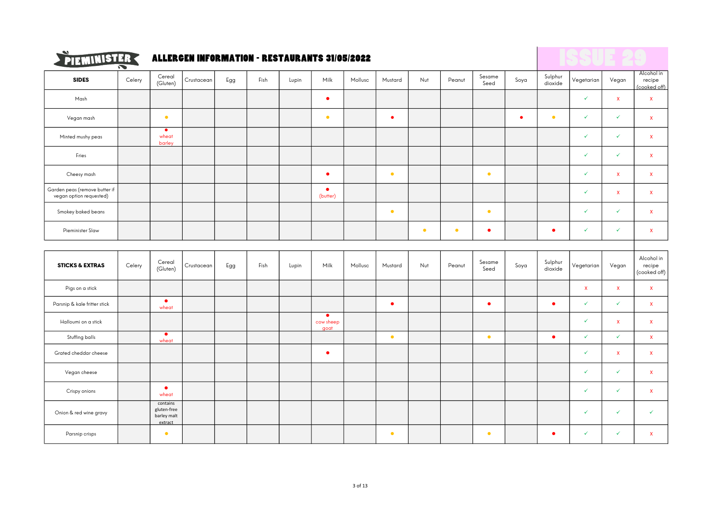

## $\sum_{i=1}^{N}$  FIEMINISTER ALLERGEN INFORMATION - RESTAURANTS 31/05/2022

|                                                          | $\tilde{\phantom{a}}$ |                                                   |            |     |      |       |                                |         |           |           |           |                |           |                    |              |                    |                                      |
|----------------------------------------------------------|-----------------------|---------------------------------------------------|------------|-----|------|-------|--------------------------------|---------|-----------|-----------|-----------|----------------|-----------|--------------------|--------------|--------------------|--------------------------------------|
| <b>SIDES</b>                                             | Celery                | Cereal<br>(Gluten)                                | Crustacean | Egg | Fish | Lupin | Milk                           | Mollusc | Mustard   | Nut       | Peanut    | Sesame<br>Seed | Soya      | Sulphur<br>dioxide | Vegetarian   | Vegan              | Alcohol in<br>recipe<br>(cooked off) |
| Mash                                                     |                       |                                                   |            |     |      |       | $\bullet$                      |         |           |           |           |                |           |                    | $\checkmark$ | $\mathsf X$        | $\mathsf X$                          |
| Vegan mash                                               |                       | $\bullet$                                         |            |     |      |       | $\bullet$                      |         | $\bullet$ |           |           |                | $\bullet$ | $\bullet$          | $\checkmark$ | $\checkmark$       | $\mathsf X$                          |
| Minted mushy peas                                        |                       | $\bullet$<br>wheat<br>barley                      |            |     |      |       |                                |         |           |           |           |                |           |                    | $\checkmark$ | $\checkmark$       | $\mathsf X$                          |
| Fries                                                    |                       |                                                   |            |     |      |       |                                |         |           |           |           |                |           |                    | $\checkmark$ | $\checkmark$       | $\mathsf X$                          |
| Cheesy mash                                              |                       |                                                   |            |     |      |       | $\bullet$                      |         | $\bullet$ |           |           | $\bullet$      |           |                    | ✓            | $\mathbf{x}$       | $\pmb{\mathsf{X}}$                   |
| Garden peas (remove butter if<br>vegan option requested) |                       |                                                   |            |     |      |       | $\bullet$<br>(butter)          |         |           |           |           |                |           |                    | $\checkmark$ | $\mathbf{x}$       | $\mathsf X$                          |
| Smokey baked beans                                       |                       |                                                   |            |     |      |       |                                |         | $\bullet$ |           |           | $\bullet$      |           |                    | $\checkmark$ | $\checkmark$       | $\mathsf X$                          |
| Pieminister Slaw                                         |                       |                                                   |            |     |      |       |                                |         |           | $\bullet$ | $\bullet$ | $\bullet$      |           | $\bullet$          | $\checkmark$ | $\checkmark$       | $\mathbf{x}$                         |
|                                                          |                       |                                                   |            |     |      |       |                                |         |           |           |           |                |           |                    |              |                    |                                      |
| <b>STICKS &amp; EXTRAS</b>                               | Celery                | Cereal<br>(Gluten)                                | Crustacean | Egg | Fish | Lupin | Milk                           | Mollusc | Mustard   | Nut       | Peanut    | Sesame<br>Seed | Soya      | Sulphur<br>dioxide | Vegetarian   | Vegan              | Alcohol in<br>recipe<br>(cooked off) |
| Pigs on a stick                                          |                       |                                                   |            |     |      |       |                                |         |           |           |           |                |           |                    | $\mathbf{x}$ | $\pmb{\mathsf{X}}$ | $\mathsf X$                          |
| Parsnip & kale fritter stick                             |                       | $\bullet$<br>wheat                                |            |     |      |       |                                |         | $\bullet$ |           |           | $\bullet$      |           | $\bullet$          | $\checkmark$ | $\checkmark$       | $\mathbf{x}$                         |
| Halloumi on a stick                                      |                       |                                                   |            |     |      |       | $\bullet$<br>cow sheep<br>goat |         |           |           |           |                |           |                    | $\checkmark$ | $\mathbf{x}$       | $\mathsf X$                          |
| Stuffing balls                                           |                       | $\bullet$<br>wheat                                |            |     |      |       |                                |         | $\bullet$ |           |           | $\bullet$      |           | $\bullet$          | $\checkmark$ | $\checkmark$       | $\mathsf{X}$                         |
| Grated cheddar cheese                                    |                       |                                                   |            |     |      |       | $\bullet$                      |         |           |           |           |                |           |                    | $\checkmark$ | $\mathbf{x}$       | $\mathbf{x}$                         |
| Vegan cheese                                             |                       |                                                   |            |     |      |       |                                |         |           |           |           |                |           |                    | $\checkmark$ | $\checkmark$       | $\mathsf X$                          |
| Crispy onions                                            |                       | $\bullet$<br>wheat                                |            |     |      |       |                                |         |           |           |           |                |           |                    | $\checkmark$ | $\checkmark$       | $\mathsf X$                          |
| Onion & red wine gravy                                   |                       | contains<br>gluten-free<br>barley malt<br>extract |            |     |      |       |                                |         |           |           |           |                |           |                    | ✓            | $\checkmark$       | $\checkmark$                         |
| Parsnip crisps                                           |                       | $\bullet$                                         |            |     |      |       |                                |         | $\bullet$ |           |           | $\bullet$      |           | $\bullet$          | ✓            | $\checkmark$       | $\overline{\mathbf{x}}$              |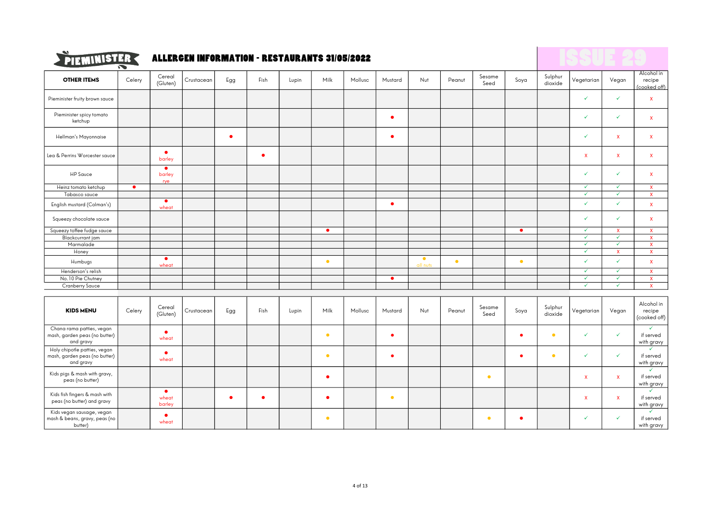

## $\sum_{i=1}^{N}$  FIEMINISTER ALLERGEN INFORMATION - RESTAURANTS 31/05/2022

|                                                                            | $\tilde{\phantom{a}}$ |                              |            |           |           |       |           |         |           |                       |           |                |           |                    |              |              |                                         |
|----------------------------------------------------------------------------|-----------------------|------------------------------|------------|-----------|-----------|-------|-----------|---------|-----------|-----------------------|-----------|----------------|-----------|--------------------|--------------|--------------|-----------------------------------------|
| <b>OTHER ITEMS</b>                                                         | Celery                | Cereal<br>(Gluten)           | Crustacean | Egg       | Fish      | Lupin | Milk      | Mollusc | Mustard   | Nut                   | Peanut    | Sesame<br>Seed | Soya      | Sulphur<br>dioxide | Vegetarian   | Vegan        | Alcohol in<br>recipe<br>(cooked off)    |
| Pieminister fruity brown sauce                                             |                       |                              |            |           |           |       |           |         |           |                       |           |                |           |                    | $\checkmark$ | $\checkmark$ | $\mathbf{x}$                            |
| Pieminister spicy tomato<br>ketchup                                        |                       |                              |            |           |           |       |           |         | $\bullet$ |                       |           |                |           |                    | $\checkmark$ | $\checkmark$ | $\mathbf{x}$                            |
| Hellman's Mayonnaise                                                       |                       |                              |            | $\bullet$ |           |       |           |         | $\bullet$ |                       |           |                |           |                    | $\checkmark$ | $\mathbf{x}$ | $\mathbf{x}$                            |
| Lea & Perrins Worcester sauce                                              |                       | $\bullet$<br>barley          |            |           | $\bullet$ |       |           |         |           |                       |           |                |           |                    | $\mathsf{x}$ | $\mathbf{x}$ | $\mathbf{x}$                            |
| <b>HP</b> Sauce                                                            |                       | $\bullet$<br>barley<br>rye   |            |           |           |       |           |         |           |                       |           |                |           |                    | $\checkmark$ | $\checkmark$ | $\mathbf{x}$                            |
| Heinz tomato ketchup                                                       | ٠                     |                              |            |           |           |       |           |         |           |                       |           |                |           |                    | $\checkmark$ | $\checkmark$ | $\mathbf{x}$                            |
| Tabasco sauce                                                              |                       |                              |            |           |           |       |           |         |           |                       |           |                |           |                    | $\checkmark$ | ✓            | $\mathbf{x}$                            |
| English mustard (Colman's)                                                 |                       | $\bullet$<br>wheat           |            |           |           |       |           |         | $\bullet$ |                       |           |                |           |                    | $\checkmark$ | $\checkmark$ | $\mathbf{x}$                            |
| Squeezy chocolate sauce                                                    |                       |                              |            |           |           |       |           |         |           |                       |           |                |           |                    | $\checkmark$ | $\checkmark$ | $\mathsf{x}$                            |
| Squeezy toffee fudge sauce                                                 |                       |                              |            |           |           |       | $\bullet$ |         |           |                       |           |                | $\bullet$ |                    | $\checkmark$ | $\mathbf{x}$ | $\mathsf{x}$                            |
| Blackcurrant jam                                                           |                       |                              |            |           |           |       |           |         |           |                       |           |                |           |                    | $\checkmark$ | $\checkmark$ | $\mathbf{x}$                            |
| Marmalade                                                                  |                       |                              |            |           |           |       |           |         |           |                       |           |                |           |                    | $\checkmark$ | $\checkmark$ | $\mathbf{x}$                            |
| Honey                                                                      |                       |                              |            |           |           |       |           |         |           |                       |           |                |           |                    | $\checkmark$ | $\mathbf{x}$ | $\mathbf{x}$                            |
| Humbugs                                                                    |                       | $\bullet$<br>wheat           |            |           |           |       | $\bullet$ |         |           | $\bullet$<br>all nuts | $\bullet$ |                | $\bullet$ |                    | $\checkmark$ | $\checkmark$ | $\mathbf{x}$                            |
| Henderson's relish                                                         |                       |                              |            |           |           |       |           |         |           |                       |           |                |           |                    | $\checkmark$ | $\checkmark$ | $\mathbf{x}$                            |
| No.10 Pie Chutney                                                          |                       |                              |            |           |           |       |           |         | $\bullet$ |                       |           |                |           |                    | $\checkmark$ | $\checkmark$ | $\mathbf{x}$                            |
| <b>Cranberry Sauce</b>                                                     |                       |                              |            |           |           |       |           |         |           |                       |           |                |           |                    | $\checkmark$ | $\checkmark$ | $\pmb{\chi}$                            |
| <b>KIDS MENU</b>                                                           | Celery                | Cereal<br>(Gluten)           | Crustacean | Egg       | Fish      | Lupin | Milk      | Mollusc | Mustard   | Nut                   | Peanut    | Sesame<br>Seed | Soya      | Sulphur<br>dioxide | Vegetarian   | Vegan        | Alcohol in<br>recipe<br>(cooked off)    |
| Chana rama patties, vegan<br>mash, garden peas (no butter)<br>and gravy    |                       | ٠<br>wheat                   |            |           |           |       | $\bullet$ |         | $\bullet$ |                       |           |                | $\bullet$ | $\bullet$          | $\checkmark$ | $\checkmark$ | $\checkmark$<br>if served<br>with gravy |
| Holy chipotle patties, vegan<br>mash, garden peas (no butter)<br>and gravy |                       | $\bullet$<br>wheat           |            |           |           |       | $\bullet$ |         | $\bullet$ |                       |           |                | $\bullet$ | $\bullet$          | $\checkmark$ | $\checkmark$ | $\checkmark$<br>if served<br>with gravy |
| Kids pigs & mash with gravy,<br>peas (no butter)                           |                       |                              |            |           |           |       | ٠         |         |           |                       |           | $\bullet$      |           |                    | $\mathsf{x}$ | $\mathbf{x}$ | if served<br>with gravy                 |
| Kids fish fingers & mash with<br>peas (no butter) and gravy                |                       | $\bullet$<br>wheat<br>barley |            | $\bullet$ | $\bullet$ |       | $\bullet$ |         | $\bullet$ |                       |           |                |           |                    | $\mathsf{x}$ | $\mathbf x$  | $\checkmark$<br>if served<br>with gravy |
| Kids vegan sausage, vegan<br>mash & beans, gravy, peas (no<br>butter)      |                       | $\bullet$<br>wheat           |            |           |           |       | $\bullet$ |         |           |                       |           | $\bullet$      | $\bullet$ |                    | $\checkmark$ | $\checkmark$ | $\checkmark$<br>if served<br>with gravy |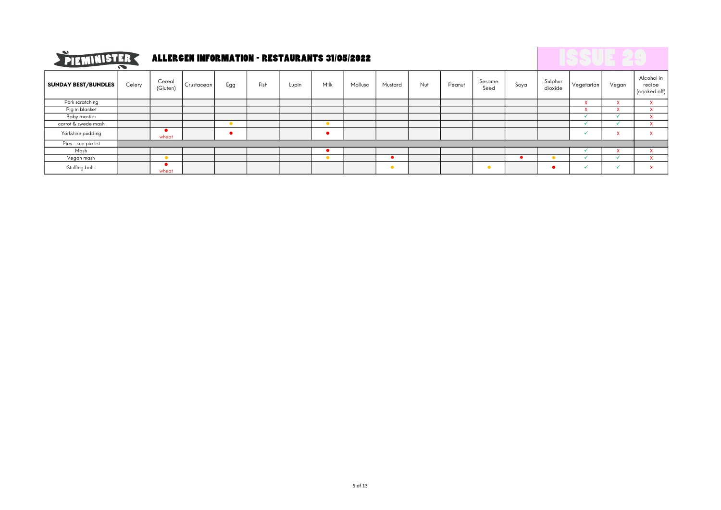

# **PIEMINISTER ALLERGEN INFORMATION - RESTAURANTS 31/05/2022**

|                            | $\cdot$ $\cdot$ |                    |            |     |      |       |      |         |           |     |        |                |      |                    |            |              |                                      |
|----------------------------|-----------------|--------------------|------------|-----|------|-------|------|---------|-----------|-----|--------|----------------|------|--------------------|------------|--------------|--------------------------------------|
| <b>SUNDAY BEST/BUNDLES</b> | Celery          | Cereal<br>(Gluten) | Crustacean | Egg | Fish | Lupin | Milk | Mollusc | Mustard   | Nut | Peanut | Sesame<br>Seed | Soya | Sulphur<br>dioxide | Vegetarian | Vegan        | Alcohol in<br>recipe<br>(cooked off) |
| Pork scratching            |                 |                    |            |     |      |       |      |         |           |     |        |                |      |                    |            |              |                                      |
| Pig in blanket             |                 |                    |            |     |      |       |      |         |           |     |        |                |      |                    |            |              |                                      |
| <b>Baby roasties</b>       |                 |                    |            |     |      |       |      |         |           |     |        |                |      |                    |            |              |                                      |
| carrot & swede mash        |                 |                    |            |     |      |       |      |         |           |     |        |                |      |                    |            |              |                                      |
| Yorkshire pudding          |                 | wheat              |            |     |      |       |      |         |           |     |        |                |      |                    |            | $\mathbf{v}$ |                                      |
| Pies - see pie list        |                 |                    |            |     |      |       |      |         |           |     |        |                |      |                    |            |              |                                      |
| Mash                       |                 |                    |            |     |      |       |      |         |           |     |        |                |      |                    |            |              |                                      |
| Vegan mash                 |                 |                    |            |     |      |       |      |         |           |     |        |                |      |                    |            |              |                                      |
| Stuffing balls             |                 | wheat              |            |     |      |       |      |         | $\bullet$ |     |        | $\bullet$      |      |                    |            |              |                                      |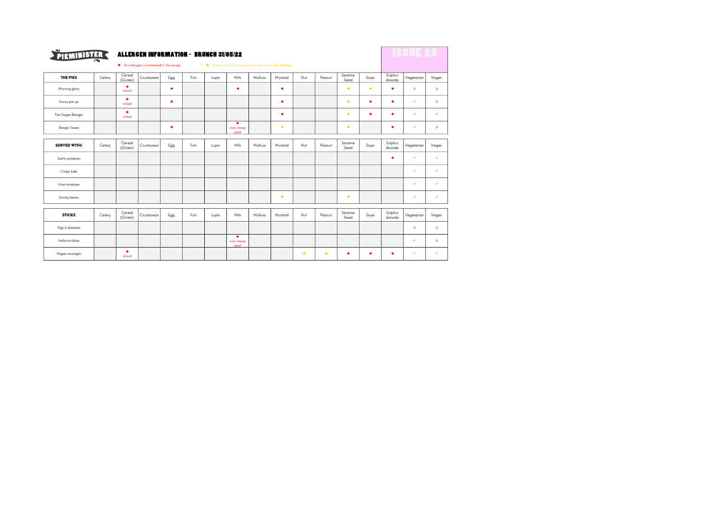| PIEMINISTER         |        |                    | <b>ALLERGEN INFORMATION - BRUNCH 31/05/22</b><br>• this allergen is contained in the recipe |     |      |       | . there is a risk of cross contamination with this allergen |         |         |     |        |                |           |                    |              |              |
|---------------------|--------|--------------------|---------------------------------------------------------------------------------------------|-----|------|-------|-------------------------------------------------------------|---------|---------|-----|--------|----------------|-----------|--------------------|--------------|--------------|
|                     |        |                    |                                                                                             |     |      |       |                                                             |         |         |     |        |                |           |                    |              |              |
| THE PIES            | Celery | Cereal<br>(Gluten) | Crustacean                                                                                  | Egg | Fish | Lupin | Milk                                                        | Mollusc | Mustard | Nut | Peanut | Sesame<br>Seed | Soya      | Sulphur<br>dioxide | Vegetarian   | Vegan        |
| Morning glory       |        | ٠<br>wheat         |                                                                                             | ٠   |      |       | ٠                                                           |         | ٠       |     |        | $\bullet$      | $\bullet$ | ٠                  | $\mathbf x$  | $\mathbf x$  |
| Sunny pie up        |        | ٠<br>wheat         |                                                                                             | ٠   |      |       |                                                             |         | ٠       |     |        | ٠              | ٠         | ٠                  | $\checkmark$ | $\mathbf{x}$ |
| The Vegan Banger    |        | ٠<br>wheat         |                                                                                             |     |      |       |                                                             |         | ٠       |     |        | ٠              | ٠         | ٠                  | $\checkmark$ | ✓            |
| Bangin' bean        |        |                    |                                                                                             | ٠   |      |       | ٠<br>cow sheep<br>qoat                                      |         | ٠       |     |        | $\bullet$      |           | ٠                  | ✓            | $\mathbf x$  |
|                     |        |                    |                                                                                             |     |      |       |                                                             |         |         |     |        |                |           |                    |              |              |
| <b>SERVED WITH:</b> | Celery | Cereal<br>(Gluten) | Crustacean                                                                                  | Egg | Fish | Lupin | Milk                                                        | Mollusc | Mustard | Nut | Peanut | Sesame<br>Seed | Soya      | Sulphur<br>dioxide | Vegetarian   | Vegan        |
| Garlic potatoes     |        |                    |                                                                                             |     |      |       |                                                             |         |         |     |        |                |           | ٠                  | $\checkmark$ | ✓            |
| Crispy kale         |        |                    |                                                                                             |     |      |       |                                                             |         |         |     |        |                |           |                    | $\checkmark$ | ✓            |
| Vine tomatoes       |        |                    |                                                                                             |     |      |       |                                                             |         |         |     |        |                |           |                    | ✓            | ✓            |
| Smoky beans         |        |                    |                                                                                             |     |      |       |                                                             |         | ٠       |     |        | ٠              |           |                    | $\checkmark$ | $\checkmark$ |
|                     |        |                    |                                                                                             |     |      |       |                                                             |         |         |     |        |                |           |                    |              |              |
| <b>STICKS</b>       | Celery | Cereal<br>(Gluten) | Crustacean                                                                                  | Egg | Fish | Lupin | Milk                                                        | Mollusc | Mustard | Nut | Peanut | Sesame<br>Seed | Soya      | Sulphur<br>dioxide | Vegetarian   | Vegan        |
| Pigs in blankets    |        |                    |                                                                                             |     |      |       |                                                             |         |         |     |        |                |           |                    | $\mathbf x$  | $\mathbf x$  |
| Halloumi bites      |        |                    |                                                                                             |     |      |       | ٠<br>cow sheep<br>qoat                                      |         |         |     |        |                |           |                    | ✓            | $\mathbf{x}$ |
| Vegan sausages      |        | ٠<br>wheat         |                                                                                             |     |      |       |                                                             |         |         | ٠   | ٠      | ٠              | ٠         | ٠                  | ✓            | ✓            |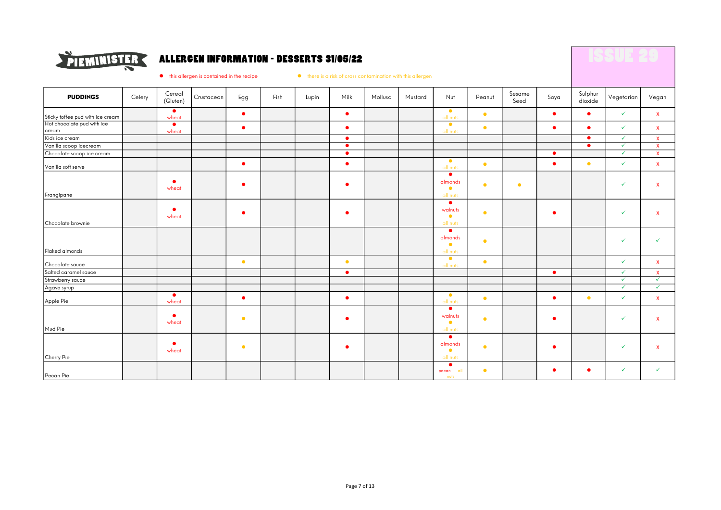

### ALLERGEN INFORMATION - DESSERTS 31/05/22

 $\bullet$  this allergen is contained in the recipe  $\bullet$  there is a risk of cross contamination with this allergen

| <b>PUDDINGS</b>                                                | Celery | Cereal<br>(Gluten) | Crustacean | Egg       | Fish | Lupin | Milk      | Mollusc | Mustard | Nut                                           | Peanut    | Sesame<br>Seed | Soya      | Sulphur<br>dioxide | Vegetarian   | Vegan        |
|----------------------------------------------------------------|--------|--------------------|------------|-----------|------|-------|-----------|---------|---------|-----------------------------------------------|-----------|----------------|-----------|--------------------|--------------|--------------|
|                                                                |        | $\bullet$<br>wheat |            | $\bullet$ |      |       | $\bullet$ |         |         | $\bullet$<br>all nuts                         | $\bullet$ |                | $\bullet$ | $\bullet$          | $\checkmark$ | $\mathbf{x}$ |
| Sticky toffee pud with ice cream<br>Hot chocolate pud with ice |        | $\bullet$          |            |           |      |       |           |         |         | $\bullet$                                     |           |                |           |                    | $\checkmark$ |              |
| cream                                                          |        | wheat              |            | $\bullet$ |      |       | $\bullet$ |         |         | all nuts                                      | $\bullet$ |                | $\bullet$ | ۰                  |              | $\mathsf{x}$ |
| Kids ice cream                                                 |        |                    |            |           |      |       | $\bullet$ |         |         |                                               |           |                |           | $\bullet$          | $\checkmark$ | $\mathbf{x}$ |
| Vanilla scoop icecream                                         |        |                    |            |           |      |       | $\bullet$ |         |         |                                               |           |                |           | $\bullet$          | $\checkmark$ | $\mathbf{x}$ |
| Chocolate scoop ice cream                                      |        |                    |            |           |      |       | $\bullet$ |         |         |                                               |           |                | $\bullet$ |                    | $\checkmark$ | $\mathsf{x}$ |
| Vanilla soft serve                                             |        |                    |            | $\bullet$ |      |       | $\bullet$ |         |         | $\bullet$<br>all nuts                         | $\bullet$ |                | $\bullet$ | $\bullet$          | $\checkmark$ | $\mathbf{x}$ |
| Frangipane                                                     |        | ٠<br>wheat         |            | $\bullet$ |      |       | $\bullet$ |         |         | $\bullet$<br>almonds<br>$\bullet$<br>all nuts | $\bullet$ | $\bullet$      |           |                    | $\checkmark$ | $\mathsf{x}$ |
| Chocolate brownie                                              |        | ٠<br>wheat         |            | $\bullet$ |      |       | ٠         |         |         | $\bullet$<br>walnuts<br>$\bullet$<br>all nuts | $\bullet$ |                | $\bullet$ |                    | $\checkmark$ | $\mathbf{x}$ |
| Flaked almonds                                                 |        |                    |            |           |      |       |           |         |         | $\bullet$<br>almonds<br>$\bullet$<br>all nuts | $\bullet$ |                |           |                    | $\checkmark$ | $\checkmark$ |
|                                                                |        |                    |            | $\bullet$ |      |       | $\bullet$ |         |         | $\bullet$<br>all nuts                         | $\bullet$ |                |           |                    | $\checkmark$ | $\mathbf{x}$ |
| Chocolate sauce<br>Salted caramel sauce                        |        |                    |            |           |      |       | $\bullet$ |         |         |                                               |           |                | $\bullet$ |                    | $\checkmark$ | $\mathbf{x}$ |
| Strawberry sauce                                               |        |                    |            |           |      |       |           |         |         |                                               |           |                |           |                    | $\checkmark$ | $\checkmark$ |
| Agave syrup                                                    |        |                    |            |           |      |       |           |         |         |                                               |           |                |           |                    | $\checkmark$ | $\checkmark$ |
| Apple Pie                                                      |        | $\bullet$<br>wheat |            | $\bullet$ |      |       | $\bullet$ |         |         | $\bullet$<br>all nuts                         | $\bullet$ |                | $\bullet$ | $\bullet$          | $\checkmark$ | $\mathbf{x}$ |
| Mud Pie                                                        |        | $\bullet$<br>wheat |            | $\bullet$ |      |       | $\bullet$ |         |         | $\bullet$<br>walnuts<br>$\bullet$<br>all nuts | $\bullet$ |                | $\bullet$ |                    | $\checkmark$ | $\mathbf{x}$ |
| Cherry Pie                                                     |        | ٠<br>wheat         |            | $\bullet$ |      |       | ٠         |         |         | $\bullet$<br>almonds<br>$\bullet$<br>all nuts | $\bullet$ |                | $\bullet$ |                    | $\checkmark$ | $\mathbf{x}$ |
| Pecan Pie                                                      |        |                    |            |           |      |       |           |         |         | ∙<br>pecan all<br>nuts                        | $\bullet$ |                | $\bullet$ | ٠                  | $\checkmark$ | $\checkmark$ |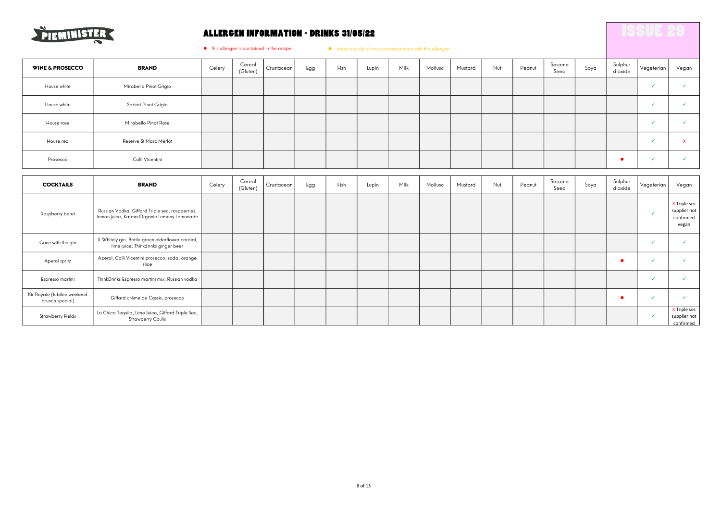

### ALLERGEN INFORMATION - DRINKS 31/05/22

 $\bullet$  this allergen is contained in the recipe  $\bullet$  there is a risk of cross contamination with this allergen

| <b>WINE &amp; PROSECCO</b> | <b>BRAND</b>           | Celery | Cereal<br>(Gluten) | Crustacean | Egg | Fish | Lupin | Milk | Mollusc | Mustard | Nut | Peanut | Sesame<br>Seed | Soya | Sulphur<br>dioxide | Vegeterian | Vegan |
|----------------------------|------------------------|--------|--------------------|------------|-----|------|-------|------|---------|---------|-----|--------|----------------|------|--------------------|------------|-------|
| House white                | Mirabello Pinot Grigio |        |                    |            |     |      |       |      |         |         |     |        |                |      |                    |            |       |
| House white                | Sartori Pinot Grigio   |        |                    |            |     |      |       |      |         |         |     |        |                |      |                    |            |       |
| House rose                 | Mirabello Pinot Rose   |        |                    |            |     |      |       |      |         |         |     |        |                |      |                    |            |       |
| House red                  | Reserve St Marc Merlot |        |                    |            |     |      |       |      |         |         |     |        |                |      |                    |            |       |
| Prosecco                   | Colli Vicentini        |        |                    |            |     |      |       |      |         |         |     |        |                |      |                    |            |       |

| <b>COCKTAILS</b>                               | <b>BRAND</b>                                                                                  | Celery | Cereal<br>(Gluten) | Crustacean | Egg | Fish | Lupin | Milk | Mollusc | Mustard | Nut | Peanut | Sesame<br>Seed | Soya | Sulphur<br>dioxide | Vegeterian | Vegan                                              |
|------------------------------------------------|-----------------------------------------------------------------------------------------------|--------|--------------------|------------|-----|------|-------|------|---------|---------|-----|--------|----------------|------|--------------------|------------|----------------------------------------------------|
| Raspberry beret                                | Russian Vodka, Giffard Triple sec, raspberries,<br>lemon juice, Karma Organic Lemony Lemonade |        |                    |            |     |      |       |      |         |         |     |        |                |      |                    | w          | X Triple sec<br>supplier not<br>confirmed<br>vegan |
| Gone with the gin                              | JJ Whitely gin, Bottle green elderflower cordial,<br>lime juice, Thinkdrinks ginger beer      |        |                    |            |     |      |       |      |         |         |     |        |                |      |                    |            |                                                    |
| Aperol spritz                                  | Aperol, Colli Vicentini prosecco, soda, orange<br>slice                                       |        |                    |            |     |      |       |      |         |         |     |        |                |      |                    |            |                                                    |
| Espresso martini                               | ThinkDrinks Espresso martini mix, Russian vodka                                               |        |                    |            |     |      |       |      |         |         |     |        |                |      |                    |            |                                                    |
| Kir Royale (Jubilee weekend<br>brunch special) | Giffard crème de Cassis, prosecco                                                             |        |                    |            |     |      |       |      |         |         |     |        |                |      |                    |            |                                                    |
| <b>Strawberry Fields</b>                       | La Chica Tequila, Lime Juice, Giffard Triple Sec,<br><b>Strawberry Coulis</b>                 |        |                    |            |     |      |       |      |         |         |     |        |                |      |                    |            | X Triple sec<br>supplier not<br>confirmed          |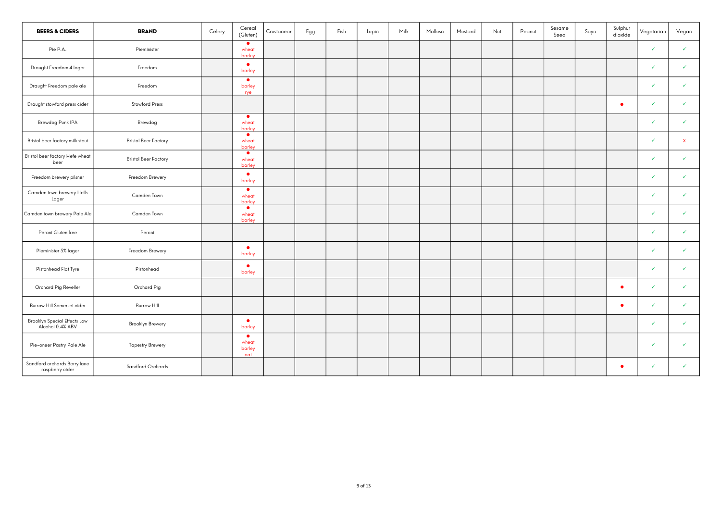| <b>BEERS &amp; CIDERS</b>                               | <b>BRAND</b>                | Celery | Cereal<br>(Gluten)                  | Crustacean | Egg | Fish | Lupin | Milk | Mollusc | Mustard | Nut | Peanut | Sesame<br>Seed | Soya | Sulphur<br>dioxide | Vegetarian   | Vegan        |
|---------------------------------------------------------|-----------------------------|--------|-------------------------------------|------------|-----|------|-------|------|---------|---------|-----|--------|----------------|------|--------------------|--------------|--------------|
| Pie P.A.                                                | Pieminister                 |        | $\bullet$<br>wheat<br>barley        |            |     |      |       |      |         |         |     |        |                |      |                    | ✓            | $\checkmark$ |
| Draught Freedom 4 lager                                 | Freedom                     |        | $\bullet$<br>barley                 |            |     |      |       |      |         |         |     |        |                |      |                    | $\checkmark$ | $\checkmark$ |
| Draught Freedom pale ale                                | Freedom                     |        | $\bullet$<br>barley<br>rye          |            |     |      |       |      |         |         |     |        |                |      |                    | V            | ✓            |
| Draught stowford press cider                            | <b>Stowford Press</b>       |        |                                     |            |     |      |       |      |         |         |     |        |                |      | $\bullet$          | $\checkmark$ | ✓            |
| Brewdog Punk IPA                                        | Brewdog                     |        | $\bullet$<br>wheat<br>barley        |            |     |      |       |      |         |         |     |        |                |      |                    | ✓            | ✓            |
| Bristol beer factory milk stout                         | <b>Bristol Beer Factory</b> |        | $\bullet$<br>wheat<br>barley        |            |     |      |       |      |         |         |     |        |                |      |                    | $\checkmark$ | $\mathbf{x}$ |
| Bristol beer factory Hefe wheat<br>beer                 | <b>Bristol Beer Factory</b> |        | $\bullet$<br>wheat<br>barley        |            |     |      |       |      |         |         |     |        |                |      |                    | $\checkmark$ | $\checkmark$ |
| Freedom brewery pilsner                                 | Freedom Brewery             |        | $\bullet$<br>barley                 |            |     |      |       |      |         |         |     |        |                |      |                    | ✓            | ✓            |
| Camden town brewery Hells<br>Lager                      | Camden Town                 |        | $\bullet$<br>wheat<br>barley        |            |     |      |       |      |         |         |     |        |                |      |                    | ✓            | ✓            |
| Camden town brewery Pale Ale                            | Camden Town                 |        | $\bullet$<br>wheat<br>barley        |            |     |      |       |      |         |         |     |        |                |      |                    | ✓            | $\checkmark$ |
| Peroni Gluten free                                      | Peroni                      |        |                                     |            |     |      |       |      |         |         |     |        |                |      |                    | ✓            | ✓            |
| Pieminister 5% lager                                    | Freedom Brewery             |        | $\bullet$<br>barley                 |            |     |      |       |      |         |         |     |        |                |      |                    | ✓            | $\checkmark$ |
| Pistonhead Flat Tyre                                    | Pistonhead                  |        | $\bullet$<br>barley                 |            |     |      |       |      |         |         |     |        |                |      |                    | ✓            | $\checkmark$ |
| Orchard Pig Reveller                                    | Orchard Pig                 |        |                                     |            |     |      |       |      |         |         |     |        |                |      | $\bullet$          | ✓            | $\checkmark$ |
| Burrow Hill Somerset cider                              | <b>Burrow Hill</b>          |        |                                     |            |     |      |       |      |         |         |     |        |                |      | $\bullet$          | ✓            | $\checkmark$ |
| <b>Brooklyn Special Effects Low</b><br>Alcohol 0.4% ABV | Brooklyn Brewery            |        | $\bullet$<br>barley                 |            |     |      |       |      |         |         |     |        |                |      |                    | ✓            | $\checkmark$ |
| Pie-oneer Pastry Pale Ale                               | <b>Tapestry Brewery</b>     |        | $\bullet$<br>wheat<br>barley<br>oat |            |     |      |       |      |         |         |     |        |                |      |                    | $\checkmark$ | ✓            |
| Sandford orchards Berry lane<br>raspberry cider         | Sandford Orchards           |        |                                     |            |     |      |       |      |         |         |     |        |                |      | ٠                  | ✓            | ✓            |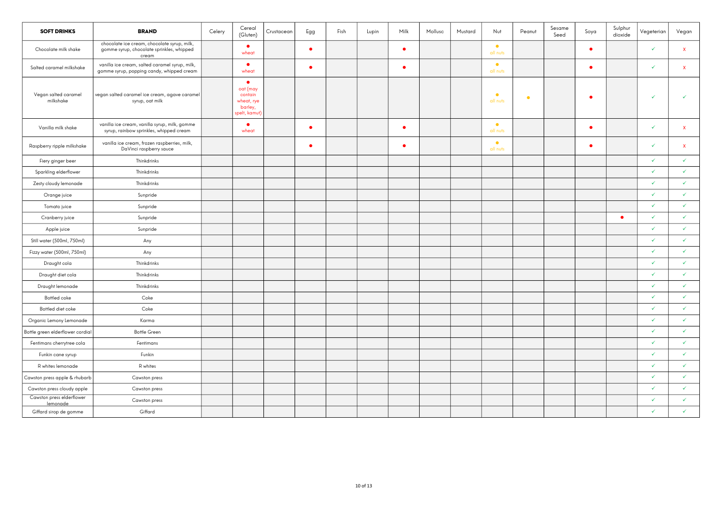| <b>SOFT DRINKS</b>                    | <b>BRAND</b>                                                                                      | Celery | Cereal<br>(Gluten)                                                        | Crustacean | Egg       | Fish | Lupin | Milk      | Mollusc | Mustard | Nut                   | Peanut | Sesame<br>Seed | Soya      | Sulphur<br>dioxide | Vegeterian   | Vegan              |
|---------------------------------------|---------------------------------------------------------------------------------------------------|--------|---------------------------------------------------------------------------|------------|-----------|------|-------|-----------|---------|---------|-----------------------|--------|----------------|-----------|--------------------|--------------|--------------------|
| Chocolate milk shake                  | chocolate ice cream, chocolate syrup, milk,<br>gomme syrup, chocolate sprinkles, whipped<br>cream |        | $\bullet$<br>wheat                                                        |            | ٠         |      |       | $\bullet$ |         |         | $\bullet$<br>all nuts |        |                | $\bullet$ |                    | $\checkmark$ | $\mathbf{x}$       |
| Salted caramel milkshake              | vanilla ice cream, salted caramel syrup, milk,<br>gomme syrup, popping candy, whipped cream       |        | $\bullet$<br>wheat                                                        |            | $\bullet$ |      |       | $\bullet$ |         |         | $\bullet$<br>all nuts |        |                | $\bullet$ |                    | V            | $\mathbf{x}$       |
| Vegan salted caramel<br>milkshake     | vegan salted caramel ice cream, agave caramel<br>syrup, oat milk                                  |        | $\bullet$<br>oat (may<br>contain<br>wheat, rye<br>barley,<br>spelt, kamut |            |           |      |       |           |         |         | $\bullet$<br>all nuts | ٠      |                | $\bullet$ |                    | V            | ✓                  |
| Vanilla milk shake                    | vanilla ice cream, vanilla syrup, milk, gomme<br>syrup, rainbow sprinkles, whipped cream          |        | $\bullet$<br>wheat                                                        |            | $\bullet$ |      |       | $\bullet$ |         |         | $\bullet$<br>all nuts |        |                | $\bullet$ |                    | $\checkmark$ | $\pmb{\mathsf{x}}$ |
| Raspberry ripple milkshake            | vanilla ice cream, frozen raspberries, milk,<br>DaVinci raspberry sauce                           |        |                                                                           |            | ٠         |      |       | $\bullet$ |         |         | $\bullet$<br>all nuts |        |                | $\bullet$ |                    | $\checkmark$ | $\mathbf{x}$       |
| Fiery ginger beer                     | Thinkdrinks                                                                                       |        |                                                                           |            |           |      |       |           |         |         |                       |        |                |           |                    | $\checkmark$ | $\checkmark$       |
| Sparkling elderflower                 | Thinkdrinks                                                                                       |        |                                                                           |            |           |      |       |           |         |         |                       |        |                |           |                    | $\checkmark$ | ✓                  |
| Zesty cloudy lemonade                 | Thinkdrinks                                                                                       |        |                                                                           |            |           |      |       |           |         |         |                       |        |                |           |                    | $\checkmark$ | $\checkmark$       |
| Orange juice                          | Sunpride                                                                                          |        |                                                                           |            |           |      |       |           |         |         |                       |        |                |           |                    | V            | $\checkmark$       |
| Tomato juice                          | Sunpride                                                                                          |        |                                                                           |            |           |      |       |           |         |         |                       |        |                |           |                    | ✓            | $\checkmark$       |
| Cranberry juice                       | Sunpride                                                                                          |        |                                                                           |            |           |      |       |           |         |         |                       |        |                |           | ٠                  | $\checkmark$ | $\checkmark$       |
| Apple juice                           | Sunpride                                                                                          |        |                                                                           |            |           |      |       |           |         |         |                       |        |                |           |                    | V            | $\checkmark$       |
| Still water (500ml, 750ml)            | Any                                                                                               |        |                                                                           |            |           |      |       |           |         |         |                       |        |                |           |                    | $\checkmark$ | $\checkmark$       |
| Fizzy water (500ml, 750ml)            | Any                                                                                               |        |                                                                           |            |           |      |       |           |         |         |                       |        |                |           |                    | $\checkmark$ | $\checkmark$       |
| Draught cola                          | Thinkdrinks                                                                                       |        |                                                                           |            |           |      |       |           |         |         |                       |        |                |           |                    | ✓            | $\checkmark$       |
| Draught diet cola                     | Thinkdrinks                                                                                       |        |                                                                           |            |           |      |       |           |         |         |                       |        |                |           |                    | $\checkmark$ | $\checkmark$       |
| Draught lemonade                      | Thinkdrinks                                                                                       |        |                                                                           |            |           |      |       |           |         |         |                       |        |                |           |                    | $\checkmark$ | $\checkmark$       |
| Bottled coke                          | Coke                                                                                              |        |                                                                           |            |           |      |       |           |         |         |                       |        |                |           |                    | $\checkmark$ | $\checkmark$       |
| Bottled diet coke                     | Coke                                                                                              |        |                                                                           |            |           |      |       |           |         |         |                       |        |                |           |                    | $\checkmark$ | $\checkmark$       |
| Organic Lemony Lemonade               | Karma                                                                                             |        |                                                                           |            |           |      |       |           |         |         |                       |        |                |           |                    | $\checkmark$ | $\checkmark$       |
| Bottle green elderflower cordial      | <b>Bottle Green</b>                                                                               |        |                                                                           |            |           |      |       |           |         |         |                       |        |                |           |                    | $\checkmark$ | $\checkmark$       |
| Fentimans cherrytree cola             | Fentimans                                                                                         |        |                                                                           |            |           |      |       |           |         |         |                       |        |                |           |                    | $\checkmark$ | $\checkmark$       |
| Funkin cane syrup                     | Funkin                                                                                            |        |                                                                           |            |           |      |       |           |         |         |                       |        |                |           |                    | V            | $\checkmark$       |
| R whites lemonade                     | R whites                                                                                          |        |                                                                           |            |           |      |       |           |         |         |                       |        |                |           |                    | $\checkmark$ | ✓                  |
| Cawston press apple & rhubarb         | Cawston press                                                                                     |        |                                                                           |            |           |      |       |           |         |         |                       |        |                |           |                    | V            | $\checkmark$       |
| Cawston press cloudy apple            | Cawston press                                                                                     |        |                                                                           |            |           |      |       |           |         |         |                       |        |                |           |                    | $\checkmark$ | $\checkmark$       |
| Cawston press elderflower<br>lemonade | Cawston press                                                                                     |        |                                                                           |            |           |      |       |           |         |         |                       |        |                |           |                    | $\checkmark$ | $\checkmark$       |
| Giffard sirop de gomme                | Giffard                                                                                           |        |                                                                           |            |           |      |       |           |         |         |                       |        |                |           |                    | ✓            | $\checkmark$       |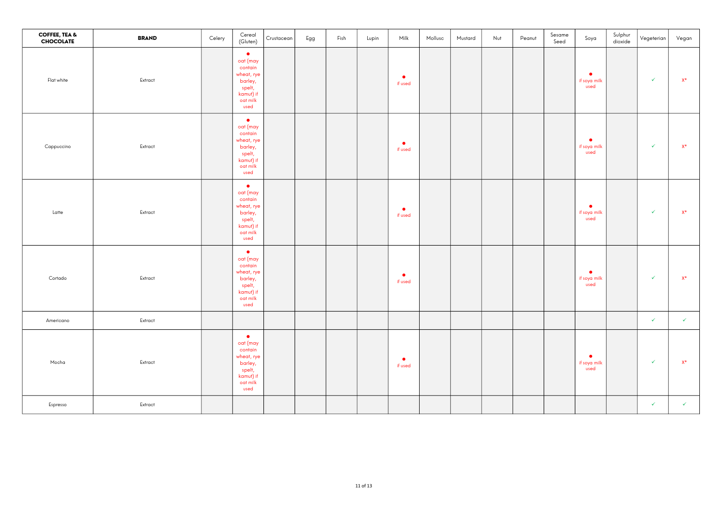| <b>COFFEE, TEA &amp;</b><br><b>CHOCOLATE</b> | <b>BRAND</b> | Celery | Cereal<br>(Gluten)                                                                                   | Crustacean | Egg | Fish | Lupin | Milk                 | Mollusc | Mustard | Nut | Peanut | Sesame<br>Seed | Soya                              | Sulphur<br>dioxide | Vegeterian   | Vegan          |
|----------------------------------------------|--------------|--------|------------------------------------------------------------------------------------------------------|------------|-----|------|-------|----------------------|---------|---------|-----|--------|----------------|-----------------------------------|--------------------|--------------|----------------|
| Flat white                                   | Extract      |        | $\bullet$<br>oat (may<br>contain<br>wheat, rye<br>barley,<br>spelt,<br>kamut) if<br>oat milk<br>used |            |     |      |       | $\bullet$<br>if used |         |         |     |        |                | $\bullet$<br>if soya milk<br>used |                    | $\checkmark$ | $X^*$          |
| Cappuccino                                   | Extract      |        | $\bullet$<br>oat (may<br>contain<br>wheat, rye<br>barley,<br>spelt,<br>kamut) if<br>oat milk<br>used |            |     |      |       | $\bullet$<br>if used |         |         |     |        |                | $\bullet$<br>if soya milk<br>used |                    | $\checkmark$ | $\mathsf{X}^*$ |
| Latte                                        | Extract      |        | $\bullet$<br>oat (may<br>contain<br>wheat, rye<br>barley,<br>spelt,<br>kamut) if<br>oat milk<br>used |            |     |      |       | $\bullet$<br>if used |         |         |     |        |                | $\bullet$<br>if soya milk<br>used |                    | $\checkmark$ | $\mathsf{X}^*$ |
| Cortado                                      | Extract      |        | $\bullet$<br>oat (may<br>contain<br>wheat, rye<br>barley,<br>spelt,<br>kamut) if<br>oat milk<br>used |            |     |      |       | $\bullet$<br>if used |         |         |     |        |                | $\bullet$<br>if soya milk<br>used |                    | $\checkmark$ | $X^*$          |
| Americano                                    | Extract      |        |                                                                                                      |            |     |      |       |                      |         |         |     |        |                |                                   |                    | $\checkmark$ | $\checkmark$   |
| Mocha                                        | Extract      |        | $\bullet$<br>oat (may<br>contain<br>wheat, rye<br>barley,<br>spelt,<br>kamut) if<br>oat milk<br>used |            |     |      |       | $\bullet$<br>if used |         |         |     |        |                | $\bullet$<br>if soya milk<br>used |                    | $\checkmark$ | $X^*$          |
| Espresso                                     | Extract      |        |                                                                                                      |            |     |      |       |                      |         |         |     |        |                |                                   |                    | $\checkmark$ | $\checkmark$   |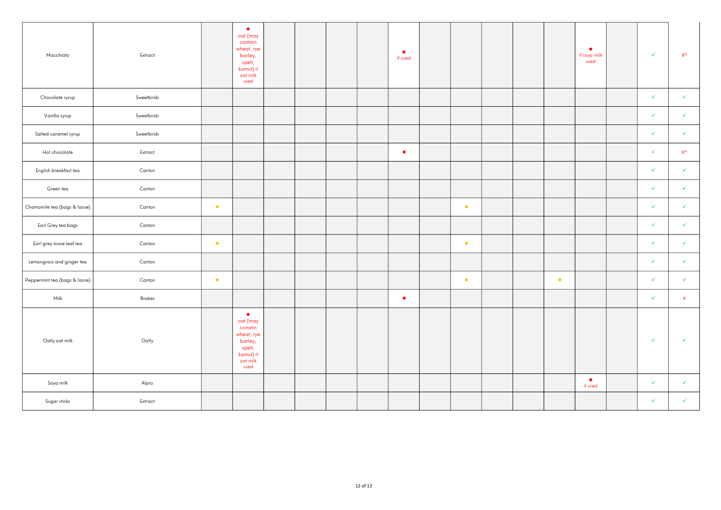| Macchiato                     | Extract    |           | $\bullet$<br>oat (may<br>contain<br>wheat, rye<br>barley,<br>spelt,<br>kamut) if<br>oat milk<br>used |  |  | ٠<br>if used |           |  |           | $\bullet$<br>if soya milk<br>used | $\checkmark$ | $X^*$        |
|-------------------------------|------------|-----------|------------------------------------------------------------------------------------------------------|--|--|--------------|-----------|--|-----------|-----------------------------------|--------------|--------------|
| Chocolate syrup               | Sweetbirds |           |                                                                                                      |  |  |              |           |  |           |                                   | ✓            | $\checkmark$ |
| Vanilla syrup                 | Sweetbirds |           |                                                                                                      |  |  |              |           |  |           |                                   | ✓            | $\checkmark$ |
| Salted caramel syrup          | Sweetbirds |           |                                                                                                      |  |  |              |           |  |           |                                   | V            | $\checkmark$ |
| Hot chocolate                 | Extract    |           |                                                                                                      |  |  | $\bullet$    |           |  |           |                                   | ✓            | $X^*$        |
| English breakfast tea         | Canton     |           |                                                                                                      |  |  |              |           |  |           |                                   | ✓            | $\checkmark$ |
| Green tea                     | Canton     |           |                                                                                                      |  |  |              |           |  |           |                                   | V            | $\checkmark$ |
| Chamomile tea (bags & loose)  | Canton     | $\bullet$ |                                                                                                      |  |  |              | $\bullet$ |  |           |                                   | $\checkmark$ | $\checkmark$ |
| Earl Grey tea bags            | Canton     |           |                                                                                                      |  |  |              |           |  |           |                                   | ✓            | $\checkmark$ |
| Earl grey loose leaf tea      | Canton     | $\bullet$ |                                                                                                      |  |  |              | $\bullet$ |  |           |                                   | $\checkmark$ | $\checkmark$ |
| Lemongrass and ginger tea     | Canton     |           |                                                                                                      |  |  |              |           |  |           |                                   | ✓            | $\checkmark$ |
| Peppermint tea (bags & loose) | Canton     | $\bullet$ |                                                                                                      |  |  |              | $\bullet$ |  | $\bullet$ |                                   | $\checkmark$ | $\checkmark$ |
| Milk                          | Brakes     |           |                                                                                                      |  |  | $\bullet$    |           |  |           |                                   | ✓            | $\mathsf{X}$ |
| Oatly oat milk                | Oatly      |           | $\bullet$<br>oat (may<br>conatin<br>wheat, rye<br>barley,<br>spelt,<br>kamut) if<br>oat milk<br>used |  |  |              |           |  |           |                                   | $\checkmark$ | $\checkmark$ |
| Soya milk                     | Alpro      |           |                                                                                                      |  |  |              |           |  |           | $\bullet$<br>if used              | $\checkmark$ | $\checkmark$ |
| Sugar sticks                  | Extract    |           |                                                                                                      |  |  |              |           |  |           |                                   | $\checkmark$ | $\checkmark$ |